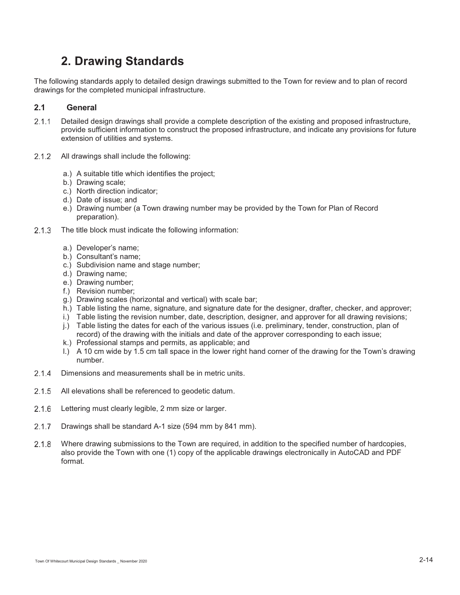# **2. Drawing Standards**

The following standards apply to detailed design drawings submitted to the Town for review and to plan of record drawings for the completed municipal infrastructure.

# **2.1 General**

- 2.1.1 Detailed design drawings shall provide a complete description of the existing and proposed infrastructure, provide sufficient information to construct the proposed infrastructure, and indicate any provisions for future extension of utilities and systems.
- 2.1.2 All drawings shall include the following:
	- a.) A suitable title which identifies the project;
	- b.) Drawing scale;
	- c.) North direction indicator;
	- d.) Date of issue; and
	- e.) Drawing number (a Town drawing number may be provided by the Town for Plan of Record preparation).
- 2.1.3 The title block must indicate the following information:
	- a.) Developer's name;
	- b.) Consultant's name;
	- c.) Subdivision name and stage number;
	- d.) Drawing name;
	- e.) Drawing number;
	- f.) Revision number;
	- g.) Drawing scales (horizontal and vertical) with scale bar;
	- h.) Table listing the name, signature, and signature date for the designer, drafter, checker, and approver;
	- i.) Table listing the revision number, date, description, designer, and approver for all drawing revisions;
	- j.) Table listing the dates for each of the various issues (i.e. preliminary, tender, construction, plan of record) of the drawing with the initials and date of the approver corresponding to each issue;
	- k.) Professional stamps and permits, as applicable; and
	- l.) A 10 cm wide by 1.5 cm tall space in the lower right hand corner of the drawing for the Town's drawing number.
- 2.1.4 Dimensions and measurements shall be in metric units.
- 2.1.5 All elevations shall be referenced to geodetic datum.
- 2.1.6 Lettering must clearly legible, 2 mm size or larger.
- 2.1.7 Drawings shall be standard A-1 size (594 mm by 841 mm).
- Where drawing submissions to the Town are required, in addition to the specified number of hardcopies, also provide the Town with one (1) copy of the applicable drawings electronically in AutoCAD and PDF format.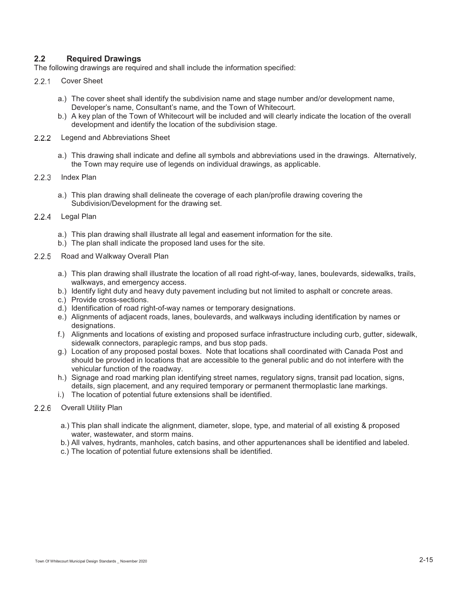# **2.2 Required Drawings**

The following drawings are required and shall include the information specified:

- 2.2.1 Cover Sheet
	- a.) The cover sheet shall identify the subdivision name and stage number and/or development name, Developer's name, Consultant's name, and the Town of Whitecourt.
	- b.) A key plan of the Town of Whitecourt will be included and will clearly indicate the location of the overall development and identify the location of the subdivision stage.
- 2.2.2 Legend and Abbreviations Sheet
	- a.) This drawing shall indicate and define all symbols and abbreviations used in the drawings. Alternatively, the Town may require use of legends on individual drawings, as applicable.
- 2.2.3 Index Plan
	- a.) This plan drawing shall delineate the coverage of each plan/profile drawing covering the Subdivision/Development for the drawing set.
- 2.2.4 Legal Plan
	- a.) This plan drawing shall illustrate all legal and easement information for the site.
	- b.) The plan shall indicate the proposed land uses for the site.
- 2.2.5 Road and Walkway Overall Plan
	- a.) This plan drawing shall illustrate the location of all road right-of-way, lanes, boulevards, sidewalks, trails, walkways, and emergency access.
	- b.) Identify light duty and heavy duty pavement including but not limited to asphalt or concrete areas.
	- c.) Provide cross-sections.
	- d.) Identification of road right-of-way names or temporary designations.
	- e.) Alignments of adjacent roads, lanes, boulevards, and walkways including identification by names or designations.
	- f.) Alignments and locations of existing and proposed surface infrastructure including curb, gutter, sidewalk, sidewalk connectors, paraplegic ramps, and bus stop pads.
	- g.) Location of any proposed postal boxes. Note that locations shall coordinated with Canada Post and should be provided in locations that are accessible to the general public and do not interfere with the vehicular function of the roadway.
	- h.) Signage and road marking plan identifying street names, regulatory signs, transit pad location, signs, details, sign placement, and any required temporary or permanent thermoplastic lane markings.
	- i.) The location of potential future extensions shall be identified.
- 2.2.6 Overall Utility Plan
	- a.) This plan shall indicate the alignment, diameter, slope, type, and material of all existing & proposed water, wastewater, and storm mains.
	- b.) All valves, hydrants, manholes, catch basins, and other appurtenances shall be identified and labeled.
	- c.) The location of potential future extensions shall be identified.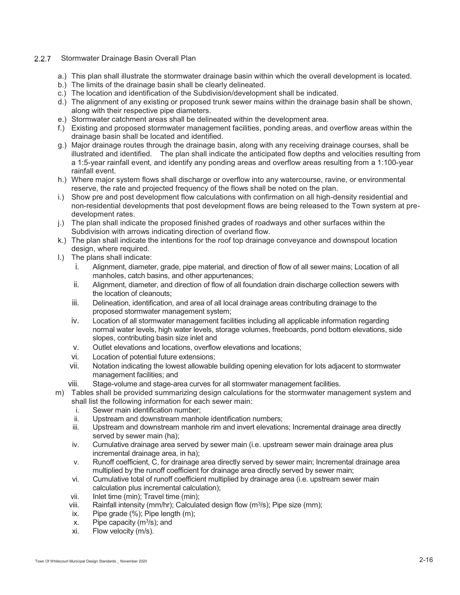#### 2.2.7 Stormwater Drainage Basin Overall Plan

- a.) This plan shall illustrate the stormwater drainage basin within which the overall development is located.
- b.) The limits of the drainage basin shall be clearly delineated.
- c.) The location and identification of the Subdivision/development shall be indicated.
- d.) The alignment of any existing or proposed trunk sewer mains within the drainage basin shall be shown, along with their respective pipe diameters.
- e.) Stormwater catchment areas shall be delineated within the development area.
- f.) Existing and proposed stormwater management facilities, ponding areas, and overflow areas within the drainage basin shall be located and identified.
- g.) Major drainage routes through the drainage basin, along with any receiving drainage courses, shall be illustrated and identified. The plan shall indicate the anticipated flow depths and velocities resulting from a 1:5-year rainfall event, and identify any ponding areas and overflow areas resulting from a 1:100-year rainfall event.
- h.) Where major system flows shall discharge or overflow into any watercourse, ravine, or environmental reserve, the rate and projected frequency of the flows shall be noted on the plan.
- i.) Show pre and post development flow calculations with confirmation on all high-density residential and non-residential developments that post development flows are being released to the Town system at predevelopment rates.
- j.) The plan shall indicate the proposed finished grades of roadways and other surfaces within the Subdivision with arrows indicating direction of overland flow.
- k.) The plan shall indicate the intentions for the roof top drainage conveyance and downspout location design, where required.
- l.) The plans shall indicate:
	- i. Alignment, diameter, grade, pipe material, and direction of flow of all sewer mains; Location of all manholes, catch basins, and other appurtenances;
	- ii. Alignment, diameter, and direction of flow of all foundation drain discharge collection sewers with the location of cleanouts;
	- iii. Delineation, identification, and area of all local drainage areas contributing drainage to the proposed stormwater management system;
	- iv. Location of all stormwater management facilities including all applicable information regarding normal water levels, high water levels, storage volumes, freeboards, pond bottom elevations, side slopes, contributing basin size inlet and
	- v. Outlet elevations and locations, overflow elevations and locations;
	- vi. Location of potential future extensions;
	- vii. Notation indicating the lowest allowable building opening elevation for lots adjacent to stormwater management facilities; and
	- viii. Stage-volume and stage-area curves for all stormwater management facilities.
- m) Tables shall be provided summarizing design calculations for the stormwater management system and shall list the following information for each sewer main:
	- i. Sewer main identification number;
	- ii. Upstream and downstream manhole identification numbers;
	- iii. Upstream and downstream manhole rim and invert elevations; Incremental drainage area directly served by sewer main (ha);
	- iv. Cumulative drainage area served by sewer main (i.e. upstream sewer main drainage area plus incremental drainage area, in ha);
	- v. Runoff coefficient, C, for drainage area directly served by sewer main; Incremental drainage area multiplied by the runoff coefficient for drainage area directly served by sewer main;
	- vi. Cumulative total of runoff coefficient multiplied by drainage area (i.e. upstream sewer main calculation plus incremental calculation);
	- vii. Inlet time (min); Travel time (min);
	- viii. Rainfall intensity (mm/hr); Calculated design flow (m3/s); Pipe size (mm);
	- ix. Pipe grade  $(\% )$ : Pipe length  $(m)$ :
	- x. Pipe capacity  $(m<sup>3</sup>/s)$ ; and
	- xi. Flow velocity (m/s).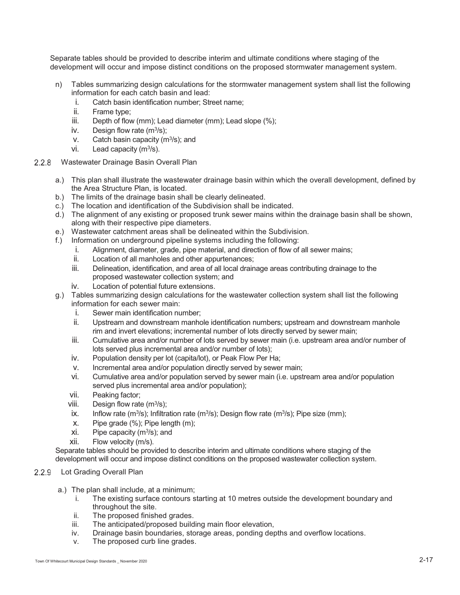Separate tables should be provided to describe interim and ultimate conditions where staging of the development will occur and impose distinct conditions on the proposed stormwater management system.

- n) Tables summarizing design calculations for the stormwater management system shall list the following information for each catch basin and lead:
	- i. Catch basin identification number; Street name;
	- ii. Frame type;
	- iii. Depth of flow (mm); Lead diameter (mm); Lead slope (%);
	- iv. Design flow rate  $(m<sup>3</sup>/s)$ ;
	- v. Catch basin capacity  $(m^3/s)$ ; and
	- vi. Lead capacity  $(m^3/s)$ .
- 2.2.8 Wastewater Drainage Basin Overall Plan
	- a.) This plan shall illustrate the wastewater drainage basin within which the overall development, defined by the Area Structure Plan, is located.
	- b.) The limits of the drainage basin shall be clearly delineated.
	- c.) The location and identification of the Subdivision shall be indicated.
	- d.) The alignment of any existing or proposed trunk sewer mains within the drainage basin shall be shown, along with their respective pipe diameters.
	- e.) Wastewater catchment areas shall be delineated within the Subdivision.
	- f.) Information on underground pipeline systems including the following:
		- i. Alignment, diameter, grade, pipe material, and direction of flow of all sewer mains;
		- ii. Location of all manholes and other appurtenances;
		- iii. Delineation, identification, and area of all local drainage areas contributing drainage to the proposed wastewater collection system; and
		- iv. Location of potential future extensions.
	- g.) Tables summarizing design calculations for the wastewater collection system shall list the following information for each sewer main:
		- i. Sewer main identification number;
		- ii. Upstream and downstream manhole identification numbers; upstream and downstream manhole rim and invert elevations; incremental number of lots directly served by sewer main;
		- iii. Cumulative area and/or number of lots served by sewer main (i.e. upstream area and/or number of lots served plus incremental area and/or number of lots);
		- iv. Population density per lot (capita/lot), or Peak Flow Per Ha;
		- v. Incremental area and/or population directly served by sewer main;
		- vi. Cumulative area and/or population served by sewer main (i.e. upstream area and/or population served plus incremental area and/or population);
		- vii. Peaking factor;
		- viii. Design flow rate  $(m<sup>3</sup>/s)$ ;
		- ix. Inflow rate (m<sup>3</sup>/s); Infiltration rate (m<sup>3</sup>/s); Design flow rate (m<sup>3</sup>/s); Pipe size (mm);
		- x. Pipe grade (%); Pipe length (m);
		- xi. Pipe capacity (m3/s); and
		- xii. Flow velocity (m/s).

Separate tables should be provided to describe interim and ultimate conditions where staging of the development will occur and impose distinct conditions on the proposed wastewater collection system.

# 2.2.9 Lot Grading Overall Plan

- a.) The plan shall include, at a minimum;
	- i. The existing surface contours starting at 10 metres outside the development boundary and throughout the site.
	- ii. The proposed finished grades.
	- iii. The anticipated/proposed building main floor elevation,
	- iv. Drainage basin boundaries, storage areas, ponding depths and overflow locations.
	- v. The proposed curb line grades.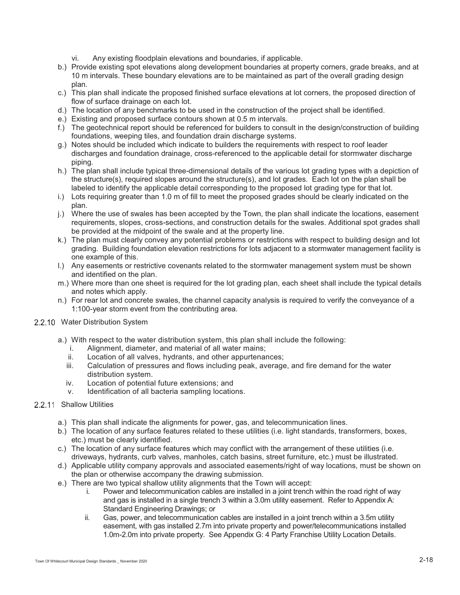- vi. Any existing floodplain elevations and boundaries, if applicable.
- b.) Provide existing spot elevations along development boundaries at property corners, grade breaks, and at 10 m intervals. These boundary elevations are to be maintained as part of the overall grading design plan.
- c.) This plan shall indicate the proposed finished surface elevations at lot corners, the proposed direction of flow of surface drainage on each lot.
- d.) The location of any benchmarks to be used in the construction of the project shall be identified.
- e.) Existing and proposed surface contours shown at 0.5 m intervals.
- f.) The geotechnical report should be referenced for builders to consult in the design/construction of building foundations, weeping tiles, and foundation drain discharge systems.
- g.) Notes should be included which indicate to builders the requirements with respect to roof leader discharges and foundation drainage, cross-referenced to the applicable detail for stormwater discharge piping.
- h.) The plan shall include typical three-dimensional details of the various lot grading types with a depiction of the structure(s), required slopes around the structure(s), and lot grades. Each lot on the plan shall be labeled to identify the applicable detail corresponding to the proposed lot grading type for that lot.
- i.) Lots requiring greater than 1.0 m of fill to meet the proposed grades should be clearly indicated on the plan.
- j.) Where the use of swales has been accepted by the Town, the plan shall indicate the locations, easement requirements, slopes, cross-sections, and construction details for the swales. Additional spot grades shall be provided at the midpoint of the swale and at the property line.
- k.) The plan must clearly convey any potential problems or restrictions with respect to building design and lot grading. Building foundation elevation restrictions for lots adjacent to a stormwater management facility is one example of this.
- l.) Any easements or restrictive covenants related to the stormwater management system must be shown and identified on the plan.
- m.) Where more than one sheet is required for the lot grading plan, each sheet shall include the typical details and notes which apply.
- n.) For rear lot and concrete swales, the channel capacity analysis is required to verify the conveyance of a 1:100-year storm event from the contributing area.

#### 2.2.10 Water Distribution System

- a.) With respect to the water distribution system, this plan shall include the following:
	- i. Alignment, diameter, and material of all water mains;
	- ii. Location of all valves, hydrants, and other appurtenances;
	- iii. Calculation of pressures and flows including peak, average, and fire demand for the water distribution system.
	- iv. Location of potential future extensions; and
	- v. Identification of all bacteria sampling locations.

#### 2.2.11 Shallow Utilities

- a.) This plan shall indicate the alignments for power, gas, and telecommunication lines.
- b.) The location of any surface features related to these utilities (i.e. light standards, transformers, boxes, etc.) must be clearly identified.
- c.) The location of any surface features which may conflict with the arrangement of these utilities (i.e. driveways, hydrants, curb valves, manholes, catch basins, street furniture, etc.) must be illustrated.
- d.) Applicable utility company approvals and associated easements/right of way locations, must be shown on the plan or otherwise accompany the drawing submission.
- e.) There are two typical shallow utility alignments that the Town will accept:
	- i. Power and telecommunication cables are installed in a joint trench within the road right of way and gas is installed in a single trench 3 within a 3.0m utility easement. Refer to Appendix A: Standard Engineering Drawings; or
	- ii. Gas, power, and telecommunication cables are installed in a joint trench within a 3.5m utility easement, with gas installed 2.7m into private property and power/telecommunications installed 1.0m-2.0m into private property. See Appendix G: 4 Party Franchise Utility Location Details.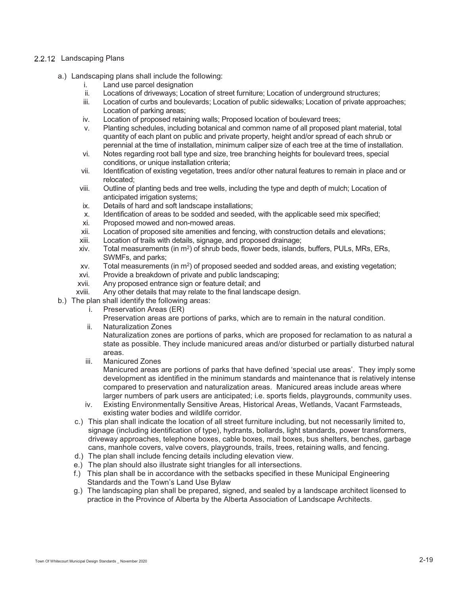#### 2.2.12 Landscaping Plans

- a.) Landscaping plans shall include the following:
	- i. Land use parcel designation
	- ii. Locations of driveways; Location of street furniture; Location of underground structures;
	- iii. Location of curbs and boulevards; Location of public sidewalks; Location of private approaches; Location of parking areas;
	- iv. Location of proposed retaining walls; Proposed location of boulevard trees;
	- v. Planting schedules, including botanical and common name of all proposed plant material, total quantity of each plant on public and private property, height and/or spread of each shrub or perennial at the time of installation, minimum caliper size of each tree at the time of installation.
	- vi. Notes regarding root ball type and size, tree branching heights for boulevard trees, special conditions, or unique installation criteria;
	- vii. Identification of existing vegetation, trees and/or other natural features to remain in place and or relocated;
	- viii. Outline of planting beds and tree wells, including the type and depth of mulch; Location of anticipated irrigation systems;
	- ix. Details of hard and soft landscape installations;
	- x. Identification of areas to be sodded and seeded, with the applicable seed mix specified;
	- Proposed mowed and non-mowed areas.
	- xii. Location of proposed site amenities and fencing, with construction details and elevations;
	- xiii. Location of trails with details, signage, and proposed drainage;<br>xiv. Total measurements (in m<sup>2</sup>) of shrub beds. flower beds. islands
	- Total measurements (in m<sup>2</sup>) of shrub beds, flower beds, islands, buffers, PULs, MRs, ERs, SWMFs, and parks;
	- $xv$ . Total measurements (in m<sup>2</sup>) of proposed seeded and sodded areas, and existing vegetation;
	- xvi. Provide a breakdown of private and public landscaping;
	- xvii. Any proposed entrance sign or feature detail; and
	- xviii. Any other details that may relate to the final landscape design.
- b.) The plan shall identify the following areas:
	- i. Preservation Areas (ER)
		- Preservation areas are portions of parks, which are to remain in the natural condition.
	- ii. Naturalization Zones

Naturalization zones are portions of parks, which are proposed for reclamation to as natural a state as possible. They include manicured areas and/or disturbed or partially disturbed natural areas.

iii. Manicured Zones

Manicured areas are portions of parks that have defined 'special use areas'. They imply some development as identified in the minimum standards and maintenance that is relatively intense compared to preservation and naturalization areas. Manicured areas include areas where larger numbers of park users are anticipated; i.e. sports fields, playgrounds, community uses.

- iv. Existing Environmentally Sensitive Areas, Historical Areas, Wetlands, Vacant Farmsteads, existing water bodies and wildlife corridor.
- c.) This plan shall indicate the location of all street furniture including, but not necessarily limited to, signage (including identification of type), hydrants, bollards, light standards, power transformers, driveway approaches, telephone boxes, cable boxes, mail boxes, bus shelters, benches, garbage cans, manhole covers, valve covers, playgrounds, trails, trees, retaining walls, and fencing.
- d.) The plan shall include fencing details including elevation view.
- e.) The plan should also illustrate sight triangles for all intersections.
- f.) This plan shall be in accordance with the setbacks specified in these Municipal Engineering Standards and the Town's Land Use Bylaw
- g.) The landscaping plan shall be prepared, signed, and sealed by a landscape architect licensed to practice in the Province of Alberta by the Alberta Association of Landscape Architects.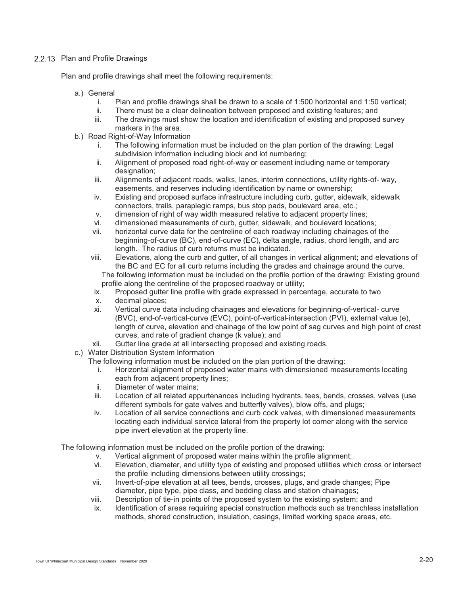#### 2.2.13 Plan and Profile Drawings

Plan and profile drawings shall meet the following requirements:

- a.) General
	- i. Plan and profile drawings shall be drawn to a scale of 1:500 horizontal and 1:50 vertical;
	- ii. There must be a clear delineation between proposed and existing features; and
	- iii. The drawings must show the location and identification of existing and proposed survey markers in the area.
- b.) Road Right-of-Way Information
	- i. The following information must be included on the plan portion of the drawing: Legal subdivision information including block and lot numbering;
	- ii. Alignment of proposed road right-of-way or easement including name or temporary designation:
	- iii. Alignments of adjacent roads, walks, lanes, interim connections, utility rights-of- way, easements, and reserves including identification by name or ownership;
	- iv. Existing and proposed surface infrastructure including curb, gutter, sidewalk, sidewalk connectors, trails, paraplegic ramps, bus stop pads, boulevard area, etc.;
	- v. dimension of right of way width measured relative to adjacent property lines;<br>vi. dimensioned measurements of curb. gutter, sidewalk, and boulevard location
	- dimensioned measurements of curb, gutter, sidewalk, and boulevard locations;
	- vii. horizontal curve data for the centreline of each roadway including chainages of the beginning-of-curve (BC), end-of-curve (EC), delta angle, radius, chord length, and arc length. The radius of curb returns must be indicated.
	- viii. Elevations, along the curb and gutter, of all changes in vertical alignment; and elevations of the BC and EC for all curb returns including the grades and chainage around the curve. The following information must be included on the profile portion of the drawing: Existing ground profile along the centreline of the proposed roadway or utility;
	- ix. Proposed gutter line profile with grade expressed in percentage, accurate to two
	- x. decimal places;
	- xi. Vertical curve data including chainages and elevations for beginning-of-vertical- curve (BVC), end-of-vertical-curve (EVC), point-of-vertical-intersection (PVI), external value (e), length of curve, elevation and chainage of the low point of sag curves and high point of crest curves, and rate of gradient change (k value); and
	- xii. Gutter line grade at all intersecting proposed and existing roads.
- c.) Water Distribution System Information

The following information must be included on the plan portion of the drawing:

- i. Horizontal alignment of proposed water mains with dimensioned measurements locating each from adjacent property lines;
- ii. Diameter of water mains;
- iii. Location of all related appurtenances including hydrants, tees, bends, crosses, valves (use different symbols for gate valves and butterfly valves), blow offs, and plugs;
- iv. Location of all service connections and curb cock valves, with dimensioned measurements locating each individual service lateral from the property lot corner along with the service pipe invert elevation at the property line.

The following information must be included on the profile portion of the drawing:

- v. Vertical alignment of proposed water mains within the profile alignment;
- vi. Elevation, diameter, and utility type of existing and proposed utilities which cross or intersect the profile including dimensions between utility crossings;
- vii. Invert-of-pipe elevation at all tees, bends, crosses, plugs, and grade changes; Pipe diameter, pipe type, pipe class, and bedding class and station chainages;
- viii. Description of tie-in points of the proposed system to the existing system; and
- ix. Identification of areas requiring special construction methods such as trenchless installation methods, shored construction, insulation, casings, limited working space areas, etc.